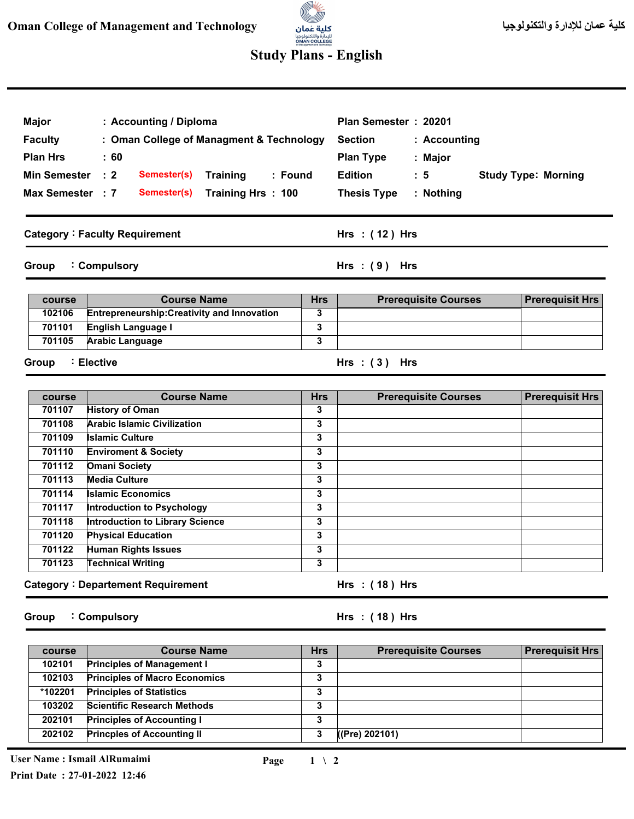## **AV**

## **Study Plans - English**

| : Accounting / Diploma<br><b>Major</b><br><b>Faculty</b><br>: Oman College of Managment & Technology<br><b>Plan Hrs</b><br>: 60<br><b>Min Semester</b><br>$\therefore$ 2<br>Semester(s)<br><b>Training</b><br>: Found<br>Max Semester : 7<br>Semester(s)<br>Training Hrs: 100<br><b>Category: Faculty Requirement</b> |                                                    |                | Plan Semester : 20201<br><b>Section</b><br>: Accounting<br><b>Plan Type</b><br>: Major<br><b>Edition</b><br>$\therefore$ 5<br><b>Study Type: Morning</b><br><b>Thesis Type</b><br>: Nothing<br>Hrs : (12) Hrs |                        |
|-----------------------------------------------------------------------------------------------------------------------------------------------------------------------------------------------------------------------------------------------------------------------------------------------------------------------|----------------------------------------------------|----------------|---------------------------------------------------------------------------------------------------------------------------------------------------------------------------------------------------------------|------------------------|
| Group                                                                                                                                                                                                                                                                                                                 | : Compulsory                                       |                | Hrs: $(9)$ Hrs                                                                                                                                                                                                |                        |
| course                                                                                                                                                                                                                                                                                                                | <b>Course Name</b>                                 | <b>Hrs</b>     | <b>Prerequisite Courses</b>                                                                                                                                                                                   | <b>Prerequisit Hrs</b> |
| 102106                                                                                                                                                                                                                                                                                                                | <b>Entrepreneurship: Creativity and Innovation</b> | 3              |                                                                                                                                                                                                               |                        |
| 701101                                                                                                                                                                                                                                                                                                                | English Language I                                 | 3              |                                                                                                                                                                                                               |                        |
| 701105                                                                                                                                                                                                                                                                                                                | <b>Arabic Language</b>                             | 3              |                                                                                                                                                                                                               |                        |
| Group                                                                                                                                                                                                                                                                                                                 | ∶ Elective                                         |                | Hrs: $(3)$ Hrs                                                                                                                                                                                                |                        |
| course                                                                                                                                                                                                                                                                                                                | <b>Course Name</b>                                 | <b>Hrs</b>     | <b>Prerequisite Courses</b>                                                                                                                                                                                   | <b>Prerequisit Hrs</b> |
| 701107                                                                                                                                                                                                                                                                                                                | <b>History of Oman</b>                             | $\overline{3}$ |                                                                                                                                                                                                               |                        |
| 701108                                                                                                                                                                                                                                                                                                                | <b>Arabic Islamic Civilization</b>                 | 3              |                                                                                                                                                                                                               |                        |
| 701109                                                                                                                                                                                                                                                                                                                | <b>Islamic Culture</b>                             | 3              |                                                                                                                                                                                                               |                        |
| 701110                                                                                                                                                                                                                                                                                                                | <b>Enviroment &amp; Society</b>                    | 3              |                                                                                                                                                                                                               |                        |
| 701112                                                                                                                                                                                                                                                                                                                | <b>Omani Society</b><br><b>Media Culture</b>       | 3              |                                                                                                                                                                                                               |                        |
| 701113<br>701114                                                                                                                                                                                                                                                                                                      | <b>Islamic Economics</b>                           | 3<br>3         |                                                                                                                                                                                                               |                        |
| 701117                                                                                                                                                                                                                                                                                                                | <b>Introduction to Psychology</b>                  | 3              |                                                                                                                                                                                                               |                        |
| 701118                                                                                                                                                                                                                                                                                                                | <b>Introduction to Library Science</b>             | 3              |                                                                                                                                                                                                               |                        |
| 701120                                                                                                                                                                                                                                                                                                                | <b>Physical Education</b>                          | 3              |                                                                                                                                                                                                               |                        |
| 701122                                                                                                                                                                                                                                                                                                                | <b>Human Rights Issues</b>                         | 3              |                                                                                                                                                                                                               |                        |
| 701123                                                                                                                                                                                                                                                                                                                | <b>Technical Writing</b>                           | 3              |                                                                                                                                                                                                               |                        |
|                                                                                                                                                                                                                                                                                                                       | <b>Category: Departement Requirement</b>           |                | Hrs: (18) Hrs                                                                                                                                                                                                 |                        |
| Group                                                                                                                                                                                                                                                                                                                 | : Compulsory                                       |                | Hrs : (18) Hrs                                                                                                                                                                                                |                        |

| course  | <b>Course Name</b>                   | <b>Hrs</b> | <b>Prerequisite Courses</b> | <b>Prerequisit Hrs</b> |
|---------|--------------------------------------|------------|-----------------------------|------------------------|
| 102101  | <b>Principles of Management I</b>    | J          |                             |                        |
| 102103  | <b>Principles of Macro Economics</b> | o<br>J     |                             |                        |
| *102201 | <b>Principles of Statistics</b>      | J          |                             |                        |
| 103202  | <b>Scientific Research Methods</b>   | ,<br>J     |                             |                        |
| 202101  | <b>Principles of Accounting I</b>    | 2<br>٠J    |                             |                        |
| 202102  | <b>Princples of Accounting II</b>    | 3          | ((Pre) 202101)              |                        |